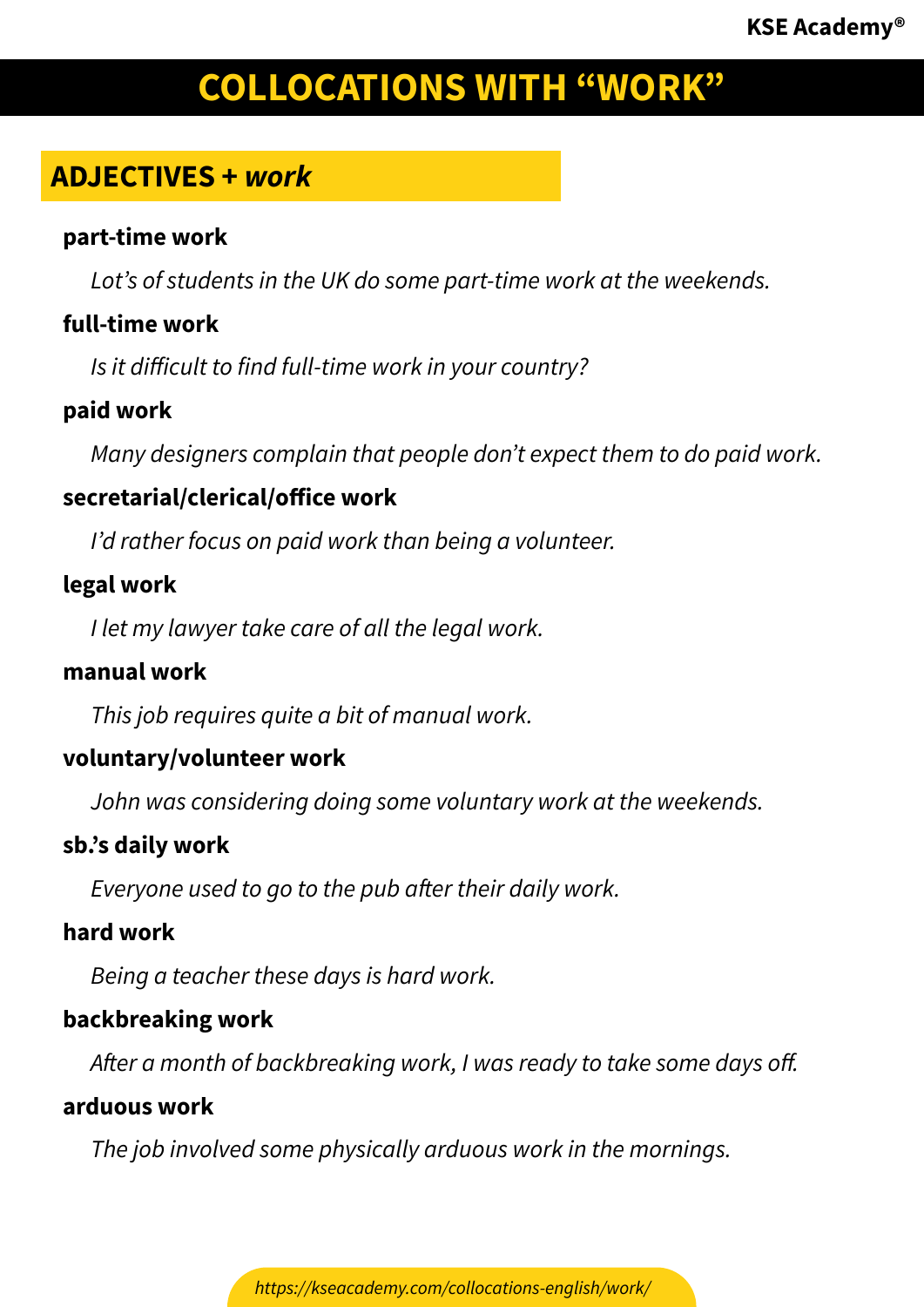# **ADJECTIVES +** *work*

#### **part-time work**

*Lot's of students in the UK do some part-time work at the weekends.*

# **full-time work**

*Is it difficult to find full-time work in your country?*

# **paid work**

*Many designers complain that people don't expect them to do paid work.*

# **secretarial/clerical/office work**

*I'd rather focus on paid work than being a volunteer.*

# **legal work**

*I let my lawyer take care of all the legal work.*

# **manual work**

*This job requires quite a bit of manual work.*

# **voluntary/volunteer work**

*John was considering doing some voluntary work at the weekends.*

# **sb.'s daily work**

*Everyone used to go to the pub after their daily work.*

# **hard work**

*Being a teacher these days is hard work.*

# **backbreaking work**

*After a month of backbreaking work, I was ready to take some days off.*

#### **arduous work**

*The job involved some physically arduous work in the mornings.*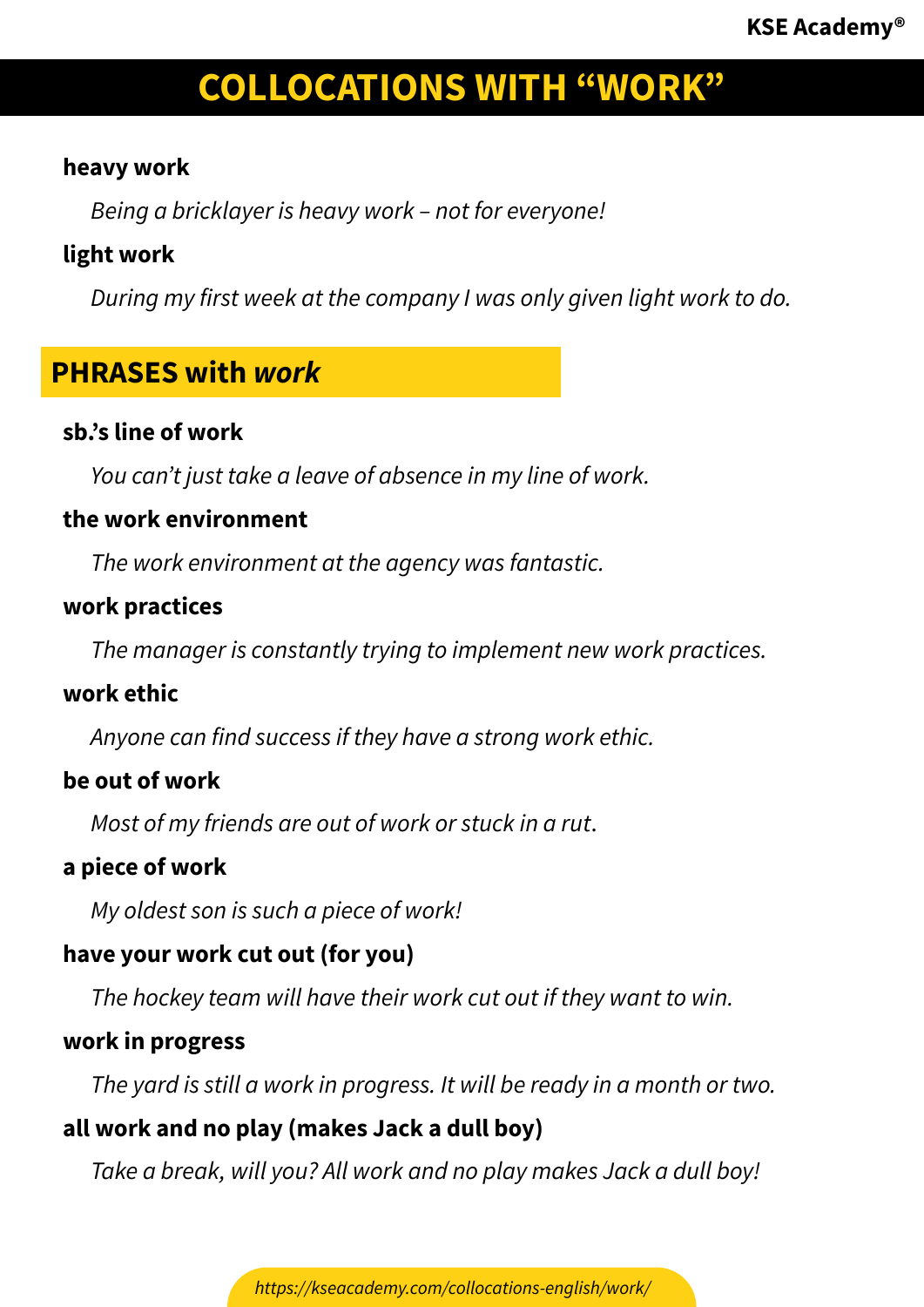# **heavy work**

*Being a bricklayer is heavy work – not for everyone!*

# **light work**

*During my first week at the company I was only given light work to do.*

# **PHRASES with** *work*

#### **sb.'s line of work**

*You can't just take a leave of absence in my line of work.*

#### **the work environment**

*The work environment at the agency was fantastic.*

# **work practices**

*The manager is constantly trying to implement new work practices.*

#### **work ethic**

*Anyone can find success if they have a strong work ethic.*

# **be out of work**

*Most of my friends are out of work or stuck in a rut*.

# **a piece of work**

*My oldest son is such a piece of work!*

# **have your work cut out (for you)**

*The hockey team will have their work cut out if they want to win.*

# **work in progress**

*The yard is still a work in progress. It will be ready in a month or two.*

# **all work and no play (makes Jack a dull boy)**

*Take a break, will you? All work and no play makes Jack a dull boy!*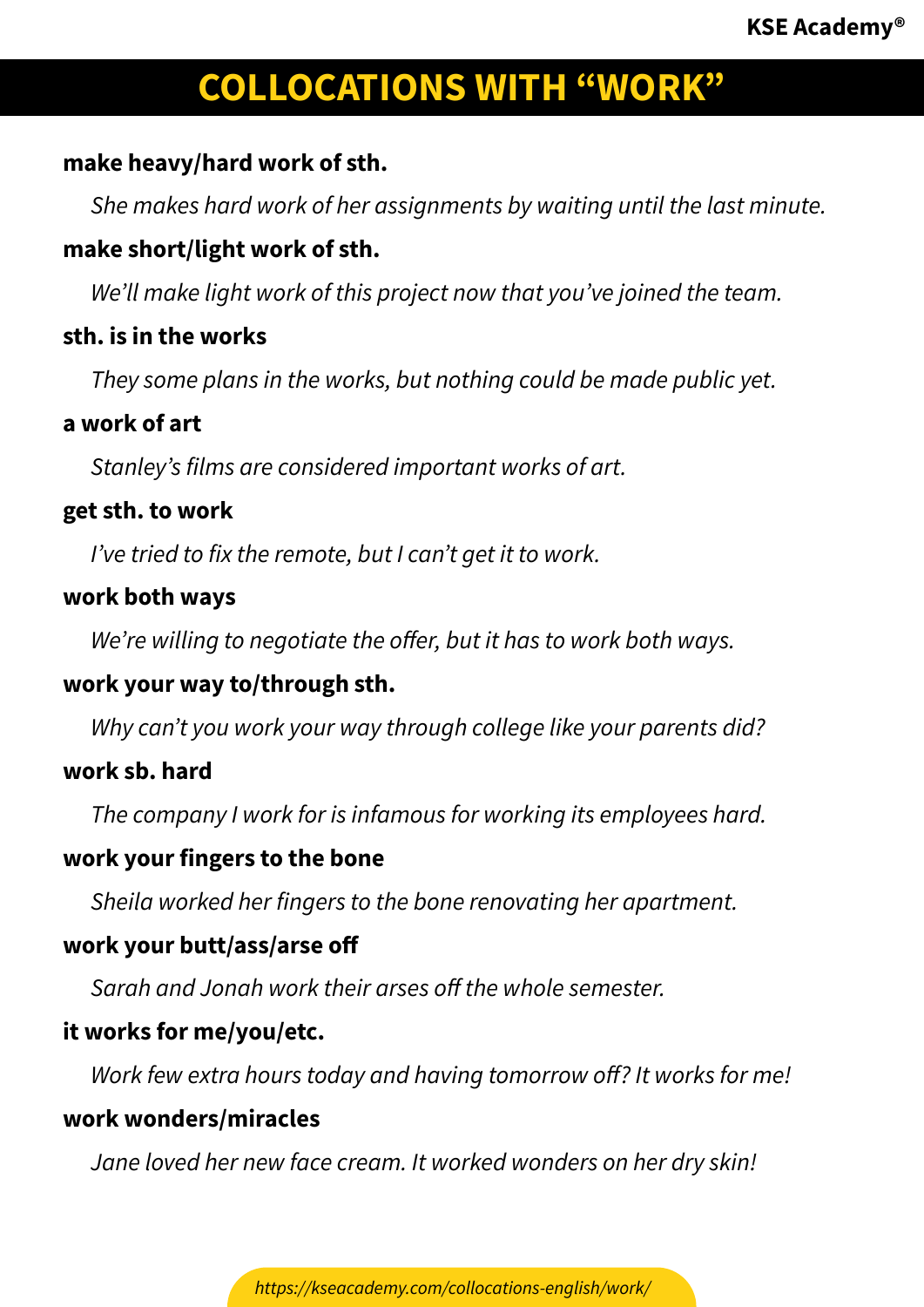# **make heavy/hard work of sth.**

*She makes hard work of her assignments by waiting until the last minute.*

# **make short/light work of sth.**

*We'll make light work of this project now that you've joined the team.*

# **sth. is in the works**

*They some plans in the works, but nothing could be made public yet.*

#### **a work of art**

*Stanley's films are considered important works of art.*

#### **get sth. to work**

*I've tried to fix the remote, but I can't get it to work.*

# **work both ways**

*We're willing to negotiate the offer, but it has to work both ways.*

# **work your way to/through sth.**

*Why can't you work your way through college like your parents did?*

# **work sb. hard**

*The company I work for is infamous for working its employees hard.*

# **work your fingers to the bone**

*Sheila worked her fingers to the bone renovating her apartment.*

# **work your butt/ass/arse off**

*Sarah and Jonah work their arses off the whole semester.*

# **it works for me/you/etc.**

*Work few extra hours today and having tomorrow off? It works for me!*

# **work wonders/miracles**

*Jane loved her new face cream. It worked wonders on her dry skin!*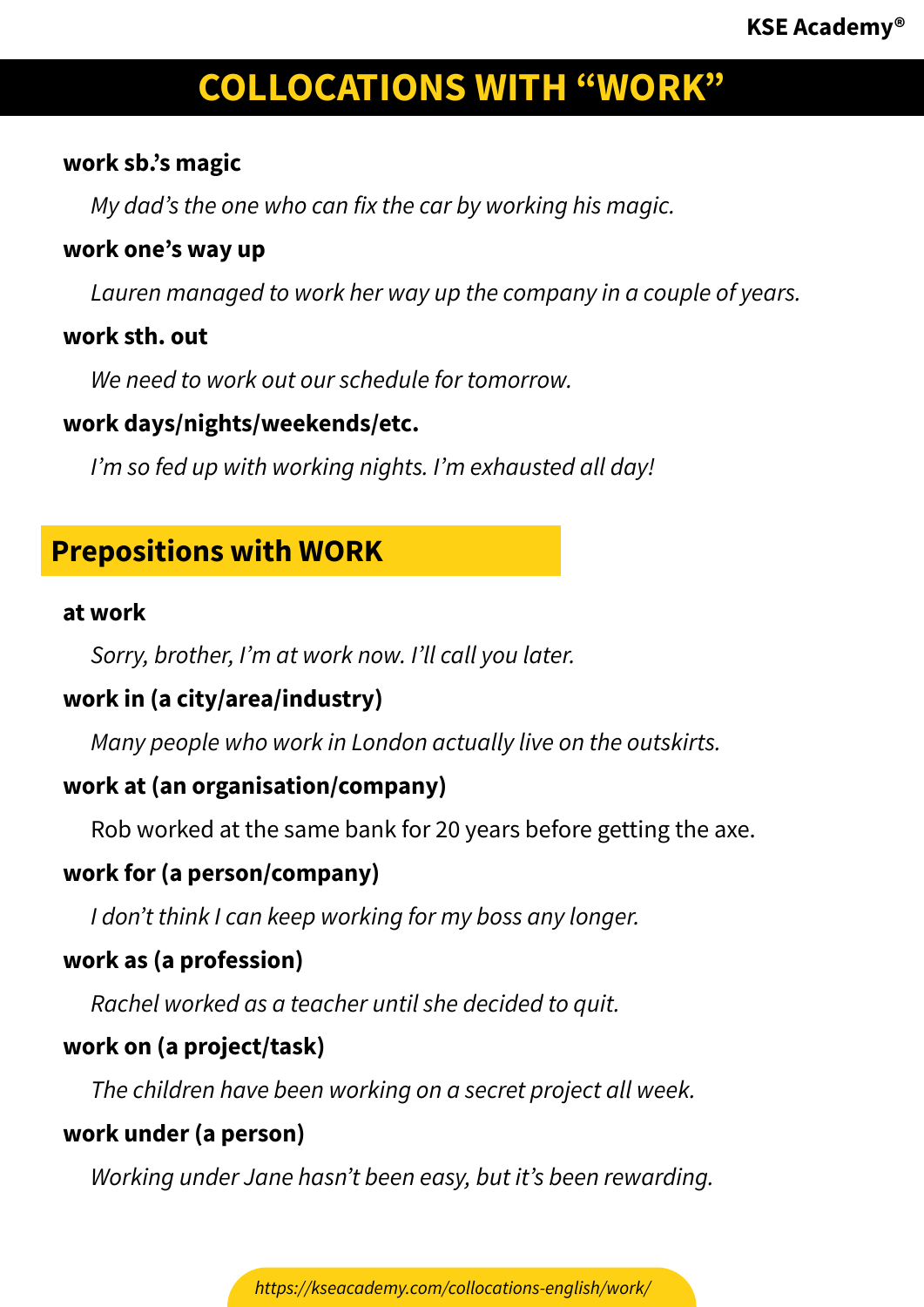# **work sb.'s magic**

*My dad's the one who can fix the car by working his magic.*

# **work one's way up**

*Lauren managed to work her way up the company in a couple of years.*

# **work sth. out**

*We need to work out our schedule for tomorrow.*

# **work days/nights/weekends/etc.**

*I'm so fed up with working nights. I'm exhausted all day!*

# **Prepositions with WORK**

#### **at work**

*Sorry, brother, I'm at work now. I'll call you later.*

# **work in (a city/area/industry)**

*Many people who work in London actually live on the outskirts.*

# **work at (an organisation/company)**

Rob worked at the same bank for 20 years before getting the axe.

# **work for (a person/company)**

*I don't think I can keep working for my boss any longer.*

# **work as (a profession)**

*Rachel worked as a teacher until she decided to quit.*

# **work on (a project/task)**

*The children have been working on a secret project all week.*

# **work under (a person)**

*Working under Jane hasn't been easy, but it's been rewarding.*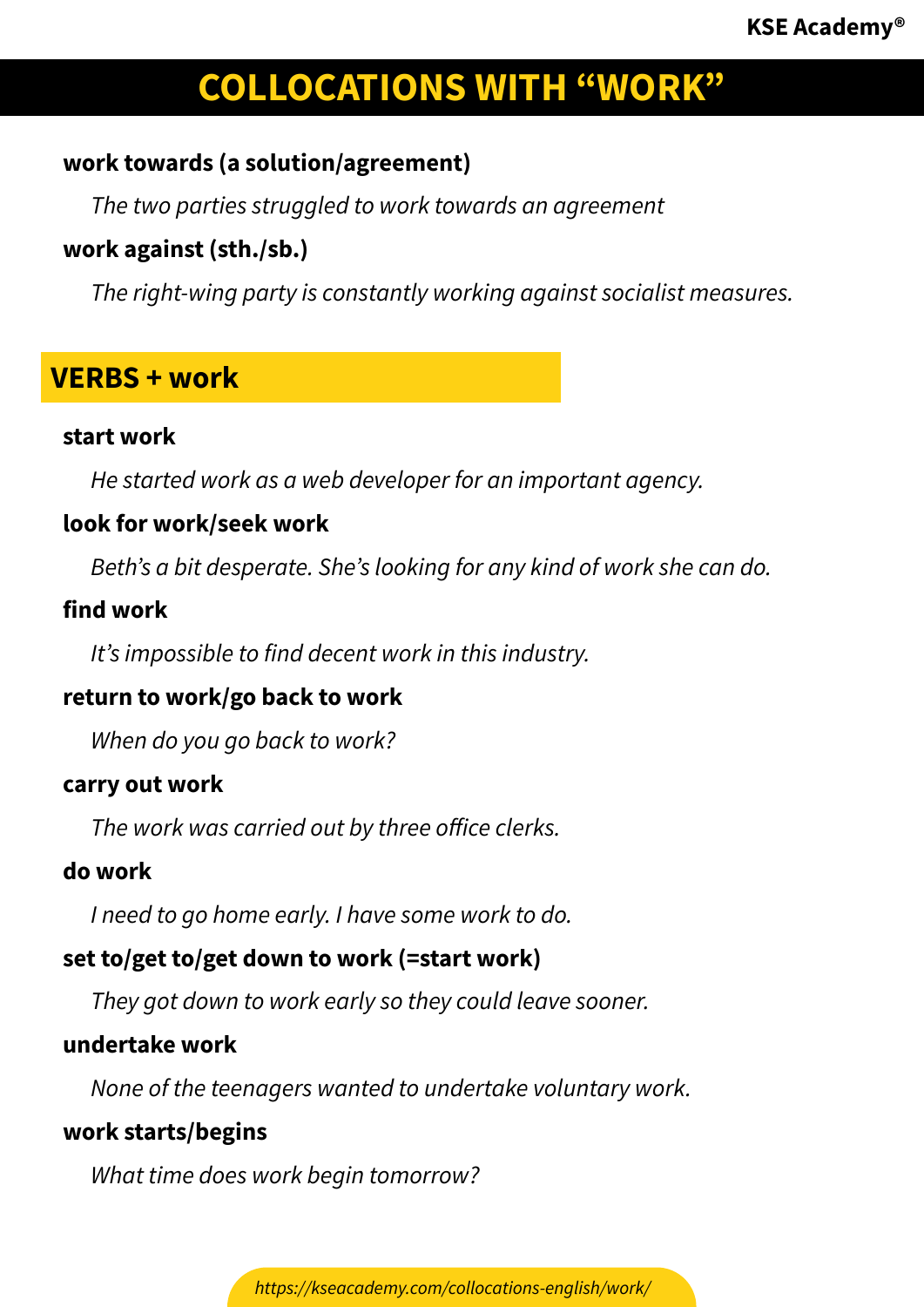# **work towards (a solution/agreement)**

*The two parties struggled to work towards an agreement*

# **work against (sth./sb.)**

*The right-wing party is constantly working against socialist measures.*

# **VERBS + work**

#### **start work**

*He started work as a web developer for an important agency.*

# **look for work/seek work**

*Beth's a bit desperate. She's looking for any kind of work she can do.*

#### **find work**

*It's impossible to find decent work in this industry.*

# **return to work/go back to work**

*When do you go back to work?*

#### **carry out work**

*The work was carried out by three office clerks.*

#### **do work**

*I need to go home early. I have some work to do.*

# **set to/get to/get down to work (=start work)**

*They got down to work early so they could leave sooner.*

# **undertake work**

*None of the teenagers wanted to undertake voluntary work.*

# **work starts/begins**

*What time does work begin tomorrow?*